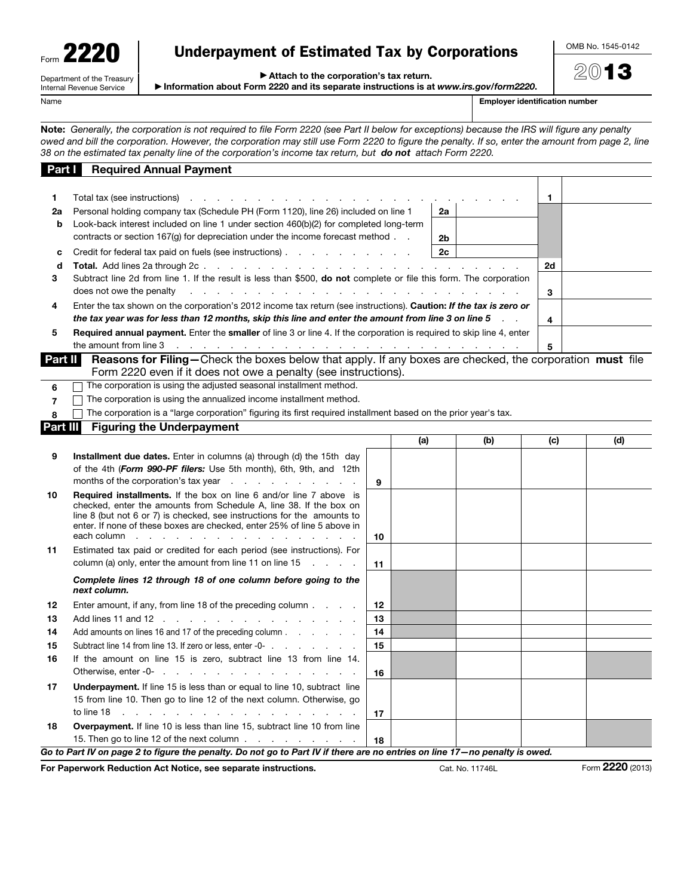| Form $\blacksquare$ | 220                        |
|---------------------|----------------------------|
|                     | Department of the Treasury |

Internal Revenue Service

## Underpayment of Estimated Tax by Corporations

OMB No. 1545-0142

2013

▶ Attach to the corporation's tax return.

▶ Information about Form 2220 and its separate instructions is at *www.irs.gov/form2220*.

Name **Employer identification number**  $\blacksquare$ 

Note: *Generally, the corporation is not required to file Form 2220 (see Part II below for exceptions) because the IRS will figure any penalty owed and bill the corporation. However, the corporation may still use Form 2220 to figure the penalty. If so, enter the amount from page 2, line 38 on the estimated tax penalty line of the corporation's income tax return, but do not attach Form 2220.*

| Total tax (see instructions)<br>1<br>1<br>and a series of the contract of the<br>Personal holding company tax (Schedule PH (Form 1120), line 26) included on line 1<br>2a<br>2a<br>Look-back interest included on line 1 under section 460(b)(2) for completed long-term<br>b<br>contracts or section $167(g)$ for depreciation under the income forecast method $\ldots$<br>2 <sub>b</sub><br>2c<br>Credit for federal tax paid on fuels (see instructions)<br>c<br><b>Total.</b> Add lines 2a through 2c.<br>2d<br>d<br>$\sim$ $\sim$<br>and the company of the company of<br>Subtract line 2d from line 1. If the result is less than \$500, do not complete or file this form. The corporation<br>3<br>does not owe the penalty<br>and a construction of the construction of the construction of the construction of the construction of the construction of the construction of the construction of the construction of the construction of the construction of<br>3<br>Enter the tax shown on the corporation's 2012 income tax return (see instructions). Caution: If the tax is zero or<br>4<br>the tax year was for less than 12 months, skip this line and enter the amount from line 3 on line 5<br>4<br><b>Required annual payment.</b> Enter the <b>smaller</b> of line 3 or line 4. If the corporation is required to skip line 4, enter<br>5<br>the amount from line $3$ and $\ldots$ and $\ldots$ are all $\ldots$ and $\ldots$ are all $\ldots$ are all $\ldots$ and $\ldots$ are all $\ldots$ are all $\ldots$ are all $\ldots$ are all $\ldots$ are all $\ldots$ are all $\ldots$ are all $\ldots$ are all $\ldots$ ar<br>5<br>Part II<br><b>Reasons for Filing</b> —Check the boxes below that apply. If any boxes are checked, the corporation must file<br>Form 2220 even if it does not owe a penalty (see instructions).<br>The corporation is using the adjusted seasonal installment method.<br>6<br>The corporation is using the annualized income installment method.<br>$\overline{7}$<br>The corporation is a "large corporation" figuring its first required installment based on the prior year's tax.<br>8<br><b>Part III</b><br><b>Figuring the Underpayment</b><br>(a)<br>(b)<br>(c)<br>(d)<br>9<br><b>Installment due dates.</b> Enter in columns (a) through (d) the 15th day<br>of the 4th (Form 990-PF filers: Use 5th month), 6th, 9th, and 12th<br>months of the corporation's tax year $\cdots$ $\cdots$ $\cdots$ $\cdots$<br>9<br><b>Required installments.</b> If the box on line 6 and/or line 7 above is<br>10<br>checked, enter the amounts from Schedule A, line 38. If the box on<br>line 8 (but not 6 or 7) is checked, see instructions for the amounts to<br>enter. If none of these boxes are checked, enter 25% of line 5 above in<br>each column $\cdots$ $\cdots$ $\cdots$ $\cdots$ $\cdots$ $\cdots$ $\cdots$ $\cdots$<br>10<br>Estimated tax paid or credited for each period (see instructions). For<br>11<br>column (a) only, enter the amount from line 11 on line $15 \ldots$<br>11<br>Complete lines 12 through 18 of one column before going to the<br>next column.<br>Enter amount, if any, from line 18 of the preceding column<br>12<br>12<br>13<br>13<br>Add lines 11 and 12<br>14<br>Add amounts on lines 16 and 17 of the preceding column<br>14<br>15<br>15<br>Subtract line 14 from line 13. If zero or less, enter -0-<br>If the amount on line 15 is zero, subtract line 13 from line 14.<br>16<br>16<br>17<br><b>Underpayment.</b> If line 15 is less than or equal to line 10, subtract line<br>15 from line 10. Then go to line 12 of the next column. Otherwise, go<br>17<br>Overpayment. If line 10 is less than line 15, subtract line 10 from line<br>18<br>15. Then go to line 12 of the next column<br>18 | <u>Part T</u> | <b>Required Annual Payment</b> |  |  |  |  |  |
|----------------------------------------------------------------------------------------------------------------------------------------------------------------------------------------------------------------------------------------------------------------------------------------------------------------------------------------------------------------------------------------------------------------------------------------------------------------------------------------------------------------------------------------------------------------------------------------------------------------------------------------------------------------------------------------------------------------------------------------------------------------------------------------------------------------------------------------------------------------------------------------------------------------------------------------------------------------------------------------------------------------------------------------------------------------------------------------------------------------------------------------------------------------------------------------------------------------------------------------------------------------------------------------------------------------------------------------------------------------------------------------------------------------------------------------------------------------------------------------------------------------------------------------------------------------------------------------------------------------------------------------------------------------------------------------------------------------------------------------------------------------------------------------------------------------------------------------------------------------------------------------------------------------------------------------------------------------------------------------------------------------------------------------------------------------------------------------------------------------------------------------------------------------------------------------------------------------------------------------------------------------------------------------------------------------------------------------------------------------------------------------------------------------------------------------------------------------------------------------------------------------------------------------------------------------------------------------------------------------------------------------------------------------------------------------------------------------------------------------------------------------------------------------------------------------------------------------------------------------------------------------------------------------------------------------------------------------------------------------------------------------------------------------------------------------------------------------------------------------------------------------------------------------------------------------------------------------------------------------------------------------------------------------------------------------------------------------------------------------------------------------------------------------------------------------------------------------------------------------------------------------------------------------------------------------------------------------------------------------------------------------------------------------------------------------------------------------------------------------------------------------------------------------------|---------------|--------------------------------|--|--|--|--|--|
|                                                                                                                                                                                                                                                                                                                                                                                                                                                                                                                                                                                                                                                                                                                                                                                                                                                                                                                                                                                                                                                                                                                                                                                                                                                                                                                                                                                                                                                                                                                                                                                                                                                                                                                                                                                                                                                                                                                                                                                                                                                                                                                                                                                                                                                                                                                                                                                                                                                                                                                                                                                                                                                                                                                                                                                                                                                                                                                                                                                                                                                                                                                                                                                                                                                                                                                                                                                                                                                                                                                                                                                                                                                                                                                                                                                              |               |                                |  |  |  |  |  |
|                                                                                                                                                                                                                                                                                                                                                                                                                                                                                                                                                                                                                                                                                                                                                                                                                                                                                                                                                                                                                                                                                                                                                                                                                                                                                                                                                                                                                                                                                                                                                                                                                                                                                                                                                                                                                                                                                                                                                                                                                                                                                                                                                                                                                                                                                                                                                                                                                                                                                                                                                                                                                                                                                                                                                                                                                                                                                                                                                                                                                                                                                                                                                                                                                                                                                                                                                                                                                                                                                                                                                                                                                                                                                                                                                                                              |               |                                |  |  |  |  |  |
|                                                                                                                                                                                                                                                                                                                                                                                                                                                                                                                                                                                                                                                                                                                                                                                                                                                                                                                                                                                                                                                                                                                                                                                                                                                                                                                                                                                                                                                                                                                                                                                                                                                                                                                                                                                                                                                                                                                                                                                                                                                                                                                                                                                                                                                                                                                                                                                                                                                                                                                                                                                                                                                                                                                                                                                                                                                                                                                                                                                                                                                                                                                                                                                                                                                                                                                                                                                                                                                                                                                                                                                                                                                                                                                                                                                              |               |                                |  |  |  |  |  |
|                                                                                                                                                                                                                                                                                                                                                                                                                                                                                                                                                                                                                                                                                                                                                                                                                                                                                                                                                                                                                                                                                                                                                                                                                                                                                                                                                                                                                                                                                                                                                                                                                                                                                                                                                                                                                                                                                                                                                                                                                                                                                                                                                                                                                                                                                                                                                                                                                                                                                                                                                                                                                                                                                                                                                                                                                                                                                                                                                                                                                                                                                                                                                                                                                                                                                                                                                                                                                                                                                                                                                                                                                                                                                                                                                                                              |               |                                |  |  |  |  |  |
|                                                                                                                                                                                                                                                                                                                                                                                                                                                                                                                                                                                                                                                                                                                                                                                                                                                                                                                                                                                                                                                                                                                                                                                                                                                                                                                                                                                                                                                                                                                                                                                                                                                                                                                                                                                                                                                                                                                                                                                                                                                                                                                                                                                                                                                                                                                                                                                                                                                                                                                                                                                                                                                                                                                                                                                                                                                                                                                                                                                                                                                                                                                                                                                                                                                                                                                                                                                                                                                                                                                                                                                                                                                                                                                                                                                              |               |                                |  |  |  |  |  |
|                                                                                                                                                                                                                                                                                                                                                                                                                                                                                                                                                                                                                                                                                                                                                                                                                                                                                                                                                                                                                                                                                                                                                                                                                                                                                                                                                                                                                                                                                                                                                                                                                                                                                                                                                                                                                                                                                                                                                                                                                                                                                                                                                                                                                                                                                                                                                                                                                                                                                                                                                                                                                                                                                                                                                                                                                                                                                                                                                                                                                                                                                                                                                                                                                                                                                                                                                                                                                                                                                                                                                                                                                                                                                                                                                                                              |               |                                |  |  |  |  |  |
|                                                                                                                                                                                                                                                                                                                                                                                                                                                                                                                                                                                                                                                                                                                                                                                                                                                                                                                                                                                                                                                                                                                                                                                                                                                                                                                                                                                                                                                                                                                                                                                                                                                                                                                                                                                                                                                                                                                                                                                                                                                                                                                                                                                                                                                                                                                                                                                                                                                                                                                                                                                                                                                                                                                                                                                                                                                                                                                                                                                                                                                                                                                                                                                                                                                                                                                                                                                                                                                                                                                                                                                                                                                                                                                                                                                              |               |                                |  |  |  |  |  |
|                                                                                                                                                                                                                                                                                                                                                                                                                                                                                                                                                                                                                                                                                                                                                                                                                                                                                                                                                                                                                                                                                                                                                                                                                                                                                                                                                                                                                                                                                                                                                                                                                                                                                                                                                                                                                                                                                                                                                                                                                                                                                                                                                                                                                                                                                                                                                                                                                                                                                                                                                                                                                                                                                                                                                                                                                                                                                                                                                                                                                                                                                                                                                                                                                                                                                                                                                                                                                                                                                                                                                                                                                                                                                                                                                                                              |               |                                |  |  |  |  |  |
|                                                                                                                                                                                                                                                                                                                                                                                                                                                                                                                                                                                                                                                                                                                                                                                                                                                                                                                                                                                                                                                                                                                                                                                                                                                                                                                                                                                                                                                                                                                                                                                                                                                                                                                                                                                                                                                                                                                                                                                                                                                                                                                                                                                                                                                                                                                                                                                                                                                                                                                                                                                                                                                                                                                                                                                                                                                                                                                                                                                                                                                                                                                                                                                                                                                                                                                                                                                                                                                                                                                                                                                                                                                                                                                                                                                              |               |                                |  |  |  |  |  |
|                                                                                                                                                                                                                                                                                                                                                                                                                                                                                                                                                                                                                                                                                                                                                                                                                                                                                                                                                                                                                                                                                                                                                                                                                                                                                                                                                                                                                                                                                                                                                                                                                                                                                                                                                                                                                                                                                                                                                                                                                                                                                                                                                                                                                                                                                                                                                                                                                                                                                                                                                                                                                                                                                                                                                                                                                                                                                                                                                                                                                                                                                                                                                                                                                                                                                                                                                                                                                                                                                                                                                                                                                                                                                                                                                                                              |               |                                |  |  |  |  |  |
|                                                                                                                                                                                                                                                                                                                                                                                                                                                                                                                                                                                                                                                                                                                                                                                                                                                                                                                                                                                                                                                                                                                                                                                                                                                                                                                                                                                                                                                                                                                                                                                                                                                                                                                                                                                                                                                                                                                                                                                                                                                                                                                                                                                                                                                                                                                                                                                                                                                                                                                                                                                                                                                                                                                                                                                                                                                                                                                                                                                                                                                                                                                                                                                                                                                                                                                                                                                                                                                                                                                                                                                                                                                                                                                                                                                              |               |                                |  |  |  |  |  |
|                                                                                                                                                                                                                                                                                                                                                                                                                                                                                                                                                                                                                                                                                                                                                                                                                                                                                                                                                                                                                                                                                                                                                                                                                                                                                                                                                                                                                                                                                                                                                                                                                                                                                                                                                                                                                                                                                                                                                                                                                                                                                                                                                                                                                                                                                                                                                                                                                                                                                                                                                                                                                                                                                                                                                                                                                                                                                                                                                                                                                                                                                                                                                                                                                                                                                                                                                                                                                                                                                                                                                                                                                                                                                                                                                                                              |               |                                |  |  |  |  |  |
|                                                                                                                                                                                                                                                                                                                                                                                                                                                                                                                                                                                                                                                                                                                                                                                                                                                                                                                                                                                                                                                                                                                                                                                                                                                                                                                                                                                                                                                                                                                                                                                                                                                                                                                                                                                                                                                                                                                                                                                                                                                                                                                                                                                                                                                                                                                                                                                                                                                                                                                                                                                                                                                                                                                                                                                                                                                                                                                                                                                                                                                                                                                                                                                                                                                                                                                                                                                                                                                                                                                                                                                                                                                                                                                                                                                              |               |                                |  |  |  |  |  |
|                                                                                                                                                                                                                                                                                                                                                                                                                                                                                                                                                                                                                                                                                                                                                                                                                                                                                                                                                                                                                                                                                                                                                                                                                                                                                                                                                                                                                                                                                                                                                                                                                                                                                                                                                                                                                                                                                                                                                                                                                                                                                                                                                                                                                                                                                                                                                                                                                                                                                                                                                                                                                                                                                                                                                                                                                                                                                                                                                                                                                                                                                                                                                                                                                                                                                                                                                                                                                                                                                                                                                                                                                                                                                                                                                                                              |               |                                |  |  |  |  |  |
|                                                                                                                                                                                                                                                                                                                                                                                                                                                                                                                                                                                                                                                                                                                                                                                                                                                                                                                                                                                                                                                                                                                                                                                                                                                                                                                                                                                                                                                                                                                                                                                                                                                                                                                                                                                                                                                                                                                                                                                                                                                                                                                                                                                                                                                                                                                                                                                                                                                                                                                                                                                                                                                                                                                                                                                                                                                                                                                                                                                                                                                                                                                                                                                                                                                                                                                                                                                                                                                                                                                                                                                                                                                                                                                                                                                              |               |                                |  |  |  |  |  |
|                                                                                                                                                                                                                                                                                                                                                                                                                                                                                                                                                                                                                                                                                                                                                                                                                                                                                                                                                                                                                                                                                                                                                                                                                                                                                                                                                                                                                                                                                                                                                                                                                                                                                                                                                                                                                                                                                                                                                                                                                                                                                                                                                                                                                                                                                                                                                                                                                                                                                                                                                                                                                                                                                                                                                                                                                                                                                                                                                                                                                                                                                                                                                                                                                                                                                                                                                                                                                                                                                                                                                                                                                                                                                                                                                                                              |               |                                |  |  |  |  |  |
|                                                                                                                                                                                                                                                                                                                                                                                                                                                                                                                                                                                                                                                                                                                                                                                                                                                                                                                                                                                                                                                                                                                                                                                                                                                                                                                                                                                                                                                                                                                                                                                                                                                                                                                                                                                                                                                                                                                                                                                                                                                                                                                                                                                                                                                                                                                                                                                                                                                                                                                                                                                                                                                                                                                                                                                                                                                                                                                                                                                                                                                                                                                                                                                                                                                                                                                                                                                                                                                                                                                                                                                                                                                                                                                                                                                              |               |                                |  |  |  |  |  |
|                                                                                                                                                                                                                                                                                                                                                                                                                                                                                                                                                                                                                                                                                                                                                                                                                                                                                                                                                                                                                                                                                                                                                                                                                                                                                                                                                                                                                                                                                                                                                                                                                                                                                                                                                                                                                                                                                                                                                                                                                                                                                                                                                                                                                                                                                                                                                                                                                                                                                                                                                                                                                                                                                                                                                                                                                                                                                                                                                                                                                                                                                                                                                                                                                                                                                                                                                                                                                                                                                                                                                                                                                                                                                                                                                                                              |               |                                |  |  |  |  |  |
|                                                                                                                                                                                                                                                                                                                                                                                                                                                                                                                                                                                                                                                                                                                                                                                                                                                                                                                                                                                                                                                                                                                                                                                                                                                                                                                                                                                                                                                                                                                                                                                                                                                                                                                                                                                                                                                                                                                                                                                                                                                                                                                                                                                                                                                                                                                                                                                                                                                                                                                                                                                                                                                                                                                                                                                                                                                                                                                                                                                                                                                                                                                                                                                                                                                                                                                                                                                                                                                                                                                                                                                                                                                                                                                                                                                              |               |                                |  |  |  |  |  |
|                                                                                                                                                                                                                                                                                                                                                                                                                                                                                                                                                                                                                                                                                                                                                                                                                                                                                                                                                                                                                                                                                                                                                                                                                                                                                                                                                                                                                                                                                                                                                                                                                                                                                                                                                                                                                                                                                                                                                                                                                                                                                                                                                                                                                                                                                                                                                                                                                                                                                                                                                                                                                                                                                                                                                                                                                                                                                                                                                                                                                                                                                                                                                                                                                                                                                                                                                                                                                                                                                                                                                                                                                                                                                                                                                                                              |               |                                |  |  |  |  |  |
|                                                                                                                                                                                                                                                                                                                                                                                                                                                                                                                                                                                                                                                                                                                                                                                                                                                                                                                                                                                                                                                                                                                                                                                                                                                                                                                                                                                                                                                                                                                                                                                                                                                                                                                                                                                                                                                                                                                                                                                                                                                                                                                                                                                                                                                                                                                                                                                                                                                                                                                                                                                                                                                                                                                                                                                                                                                                                                                                                                                                                                                                                                                                                                                                                                                                                                                                                                                                                                                                                                                                                                                                                                                                                                                                                                                              |               |                                |  |  |  |  |  |
|                                                                                                                                                                                                                                                                                                                                                                                                                                                                                                                                                                                                                                                                                                                                                                                                                                                                                                                                                                                                                                                                                                                                                                                                                                                                                                                                                                                                                                                                                                                                                                                                                                                                                                                                                                                                                                                                                                                                                                                                                                                                                                                                                                                                                                                                                                                                                                                                                                                                                                                                                                                                                                                                                                                                                                                                                                                                                                                                                                                                                                                                                                                                                                                                                                                                                                                                                                                                                                                                                                                                                                                                                                                                                                                                                                                              |               |                                |  |  |  |  |  |
|                                                                                                                                                                                                                                                                                                                                                                                                                                                                                                                                                                                                                                                                                                                                                                                                                                                                                                                                                                                                                                                                                                                                                                                                                                                                                                                                                                                                                                                                                                                                                                                                                                                                                                                                                                                                                                                                                                                                                                                                                                                                                                                                                                                                                                                                                                                                                                                                                                                                                                                                                                                                                                                                                                                                                                                                                                                                                                                                                                                                                                                                                                                                                                                                                                                                                                                                                                                                                                                                                                                                                                                                                                                                                                                                                                                              |               |                                |  |  |  |  |  |
|                                                                                                                                                                                                                                                                                                                                                                                                                                                                                                                                                                                                                                                                                                                                                                                                                                                                                                                                                                                                                                                                                                                                                                                                                                                                                                                                                                                                                                                                                                                                                                                                                                                                                                                                                                                                                                                                                                                                                                                                                                                                                                                                                                                                                                                                                                                                                                                                                                                                                                                                                                                                                                                                                                                                                                                                                                                                                                                                                                                                                                                                                                                                                                                                                                                                                                                                                                                                                                                                                                                                                                                                                                                                                                                                                                                              |               |                                |  |  |  |  |  |
|                                                                                                                                                                                                                                                                                                                                                                                                                                                                                                                                                                                                                                                                                                                                                                                                                                                                                                                                                                                                                                                                                                                                                                                                                                                                                                                                                                                                                                                                                                                                                                                                                                                                                                                                                                                                                                                                                                                                                                                                                                                                                                                                                                                                                                                                                                                                                                                                                                                                                                                                                                                                                                                                                                                                                                                                                                                                                                                                                                                                                                                                                                                                                                                                                                                                                                                                                                                                                                                                                                                                                                                                                                                                                                                                                                                              |               |                                |  |  |  |  |  |
|                                                                                                                                                                                                                                                                                                                                                                                                                                                                                                                                                                                                                                                                                                                                                                                                                                                                                                                                                                                                                                                                                                                                                                                                                                                                                                                                                                                                                                                                                                                                                                                                                                                                                                                                                                                                                                                                                                                                                                                                                                                                                                                                                                                                                                                                                                                                                                                                                                                                                                                                                                                                                                                                                                                                                                                                                                                                                                                                                                                                                                                                                                                                                                                                                                                                                                                                                                                                                                                                                                                                                                                                                                                                                                                                                                                              |               |                                |  |  |  |  |  |
|                                                                                                                                                                                                                                                                                                                                                                                                                                                                                                                                                                                                                                                                                                                                                                                                                                                                                                                                                                                                                                                                                                                                                                                                                                                                                                                                                                                                                                                                                                                                                                                                                                                                                                                                                                                                                                                                                                                                                                                                                                                                                                                                                                                                                                                                                                                                                                                                                                                                                                                                                                                                                                                                                                                                                                                                                                                                                                                                                                                                                                                                                                                                                                                                                                                                                                                                                                                                                                                                                                                                                                                                                                                                                                                                                                                              |               |                                |  |  |  |  |  |
|                                                                                                                                                                                                                                                                                                                                                                                                                                                                                                                                                                                                                                                                                                                                                                                                                                                                                                                                                                                                                                                                                                                                                                                                                                                                                                                                                                                                                                                                                                                                                                                                                                                                                                                                                                                                                                                                                                                                                                                                                                                                                                                                                                                                                                                                                                                                                                                                                                                                                                                                                                                                                                                                                                                                                                                                                                                                                                                                                                                                                                                                                                                                                                                                                                                                                                                                                                                                                                                                                                                                                                                                                                                                                                                                                                                              |               |                                |  |  |  |  |  |
|                                                                                                                                                                                                                                                                                                                                                                                                                                                                                                                                                                                                                                                                                                                                                                                                                                                                                                                                                                                                                                                                                                                                                                                                                                                                                                                                                                                                                                                                                                                                                                                                                                                                                                                                                                                                                                                                                                                                                                                                                                                                                                                                                                                                                                                                                                                                                                                                                                                                                                                                                                                                                                                                                                                                                                                                                                                                                                                                                                                                                                                                                                                                                                                                                                                                                                                                                                                                                                                                                                                                                                                                                                                                                                                                                                                              |               |                                |  |  |  |  |  |
|                                                                                                                                                                                                                                                                                                                                                                                                                                                                                                                                                                                                                                                                                                                                                                                                                                                                                                                                                                                                                                                                                                                                                                                                                                                                                                                                                                                                                                                                                                                                                                                                                                                                                                                                                                                                                                                                                                                                                                                                                                                                                                                                                                                                                                                                                                                                                                                                                                                                                                                                                                                                                                                                                                                                                                                                                                                                                                                                                                                                                                                                                                                                                                                                                                                                                                                                                                                                                                                                                                                                                                                                                                                                                                                                                                                              |               |                                |  |  |  |  |  |
|                                                                                                                                                                                                                                                                                                                                                                                                                                                                                                                                                                                                                                                                                                                                                                                                                                                                                                                                                                                                                                                                                                                                                                                                                                                                                                                                                                                                                                                                                                                                                                                                                                                                                                                                                                                                                                                                                                                                                                                                                                                                                                                                                                                                                                                                                                                                                                                                                                                                                                                                                                                                                                                                                                                                                                                                                                                                                                                                                                                                                                                                                                                                                                                                                                                                                                                                                                                                                                                                                                                                                                                                                                                                                                                                                                                              |               |                                |  |  |  |  |  |
|                                                                                                                                                                                                                                                                                                                                                                                                                                                                                                                                                                                                                                                                                                                                                                                                                                                                                                                                                                                                                                                                                                                                                                                                                                                                                                                                                                                                                                                                                                                                                                                                                                                                                                                                                                                                                                                                                                                                                                                                                                                                                                                                                                                                                                                                                                                                                                                                                                                                                                                                                                                                                                                                                                                                                                                                                                                                                                                                                                                                                                                                                                                                                                                                                                                                                                                                                                                                                                                                                                                                                                                                                                                                                                                                                                                              |               |                                |  |  |  |  |  |
|                                                                                                                                                                                                                                                                                                                                                                                                                                                                                                                                                                                                                                                                                                                                                                                                                                                                                                                                                                                                                                                                                                                                                                                                                                                                                                                                                                                                                                                                                                                                                                                                                                                                                                                                                                                                                                                                                                                                                                                                                                                                                                                                                                                                                                                                                                                                                                                                                                                                                                                                                                                                                                                                                                                                                                                                                                                                                                                                                                                                                                                                                                                                                                                                                                                                                                                                                                                                                                                                                                                                                                                                                                                                                                                                                                                              |               |                                |  |  |  |  |  |
|                                                                                                                                                                                                                                                                                                                                                                                                                                                                                                                                                                                                                                                                                                                                                                                                                                                                                                                                                                                                                                                                                                                                                                                                                                                                                                                                                                                                                                                                                                                                                                                                                                                                                                                                                                                                                                                                                                                                                                                                                                                                                                                                                                                                                                                                                                                                                                                                                                                                                                                                                                                                                                                                                                                                                                                                                                                                                                                                                                                                                                                                                                                                                                                                                                                                                                                                                                                                                                                                                                                                                                                                                                                                                                                                                                                              |               |                                |  |  |  |  |  |
|                                                                                                                                                                                                                                                                                                                                                                                                                                                                                                                                                                                                                                                                                                                                                                                                                                                                                                                                                                                                                                                                                                                                                                                                                                                                                                                                                                                                                                                                                                                                                                                                                                                                                                                                                                                                                                                                                                                                                                                                                                                                                                                                                                                                                                                                                                                                                                                                                                                                                                                                                                                                                                                                                                                                                                                                                                                                                                                                                                                                                                                                                                                                                                                                                                                                                                                                                                                                                                                                                                                                                                                                                                                                                                                                                                                              |               |                                |  |  |  |  |  |
|                                                                                                                                                                                                                                                                                                                                                                                                                                                                                                                                                                                                                                                                                                                                                                                                                                                                                                                                                                                                                                                                                                                                                                                                                                                                                                                                                                                                                                                                                                                                                                                                                                                                                                                                                                                                                                                                                                                                                                                                                                                                                                                                                                                                                                                                                                                                                                                                                                                                                                                                                                                                                                                                                                                                                                                                                                                                                                                                                                                                                                                                                                                                                                                                                                                                                                                                                                                                                                                                                                                                                                                                                                                                                                                                                                                              |               |                                |  |  |  |  |  |
|                                                                                                                                                                                                                                                                                                                                                                                                                                                                                                                                                                                                                                                                                                                                                                                                                                                                                                                                                                                                                                                                                                                                                                                                                                                                                                                                                                                                                                                                                                                                                                                                                                                                                                                                                                                                                                                                                                                                                                                                                                                                                                                                                                                                                                                                                                                                                                                                                                                                                                                                                                                                                                                                                                                                                                                                                                                                                                                                                                                                                                                                                                                                                                                                                                                                                                                                                                                                                                                                                                                                                                                                                                                                                                                                                                                              |               |                                |  |  |  |  |  |
|                                                                                                                                                                                                                                                                                                                                                                                                                                                                                                                                                                                                                                                                                                                                                                                                                                                                                                                                                                                                                                                                                                                                                                                                                                                                                                                                                                                                                                                                                                                                                                                                                                                                                                                                                                                                                                                                                                                                                                                                                                                                                                                                                                                                                                                                                                                                                                                                                                                                                                                                                                                                                                                                                                                                                                                                                                                                                                                                                                                                                                                                                                                                                                                                                                                                                                                                                                                                                                                                                                                                                                                                                                                                                                                                                                                              |               |                                |  |  |  |  |  |
|                                                                                                                                                                                                                                                                                                                                                                                                                                                                                                                                                                                                                                                                                                                                                                                                                                                                                                                                                                                                                                                                                                                                                                                                                                                                                                                                                                                                                                                                                                                                                                                                                                                                                                                                                                                                                                                                                                                                                                                                                                                                                                                                                                                                                                                                                                                                                                                                                                                                                                                                                                                                                                                                                                                                                                                                                                                                                                                                                                                                                                                                                                                                                                                                                                                                                                                                                                                                                                                                                                                                                                                                                                                                                                                                                                                              |               |                                |  |  |  |  |  |
|                                                                                                                                                                                                                                                                                                                                                                                                                                                                                                                                                                                                                                                                                                                                                                                                                                                                                                                                                                                                                                                                                                                                                                                                                                                                                                                                                                                                                                                                                                                                                                                                                                                                                                                                                                                                                                                                                                                                                                                                                                                                                                                                                                                                                                                                                                                                                                                                                                                                                                                                                                                                                                                                                                                                                                                                                                                                                                                                                                                                                                                                                                                                                                                                                                                                                                                                                                                                                                                                                                                                                                                                                                                                                                                                                                                              |               |                                |  |  |  |  |  |
|                                                                                                                                                                                                                                                                                                                                                                                                                                                                                                                                                                                                                                                                                                                                                                                                                                                                                                                                                                                                                                                                                                                                                                                                                                                                                                                                                                                                                                                                                                                                                                                                                                                                                                                                                                                                                                                                                                                                                                                                                                                                                                                                                                                                                                                                                                                                                                                                                                                                                                                                                                                                                                                                                                                                                                                                                                                                                                                                                                                                                                                                                                                                                                                                                                                                                                                                                                                                                                                                                                                                                                                                                                                                                                                                                                                              |               |                                |  |  |  |  |  |
|                                                                                                                                                                                                                                                                                                                                                                                                                                                                                                                                                                                                                                                                                                                                                                                                                                                                                                                                                                                                                                                                                                                                                                                                                                                                                                                                                                                                                                                                                                                                                                                                                                                                                                                                                                                                                                                                                                                                                                                                                                                                                                                                                                                                                                                                                                                                                                                                                                                                                                                                                                                                                                                                                                                                                                                                                                                                                                                                                                                                                                                                                                                                                                                                                                                                                                                                                                                                                                                                                                                                                                                                                                                                                                                                                                                              |               |                                |  |  |  |  |  |
| Go to Part IV on page 2 to figure the penalty. Do not go to Part IV if there are no entries on line 17-no penalty is owed.                                                                                                                                                                                                                                                                                                                                                                                                                                                                                                                                                                                                                                                                                                                                                                                                                                                                                                                                                                                                                                                                                                                                                                                                                                                                                                                                                                                                                                                                                                                                                                                                                                                                                                                                                                                                                                                                                                                                                                                                                                                                                                                                                                                                                                                                                                                                                                                                                                                                                                                                                                                                                                                                                                                                                                                                                                                                                                                                                                                                                                                                                                                                                                                                                                                                                                                                                                                                                                                                                                                                                                                                                                                                   |               |                                |  |  |  |  |  |

For Paperwork Reduction Act Notice, see separate instructions. Cat. No. 11746L Form 2220 (2013)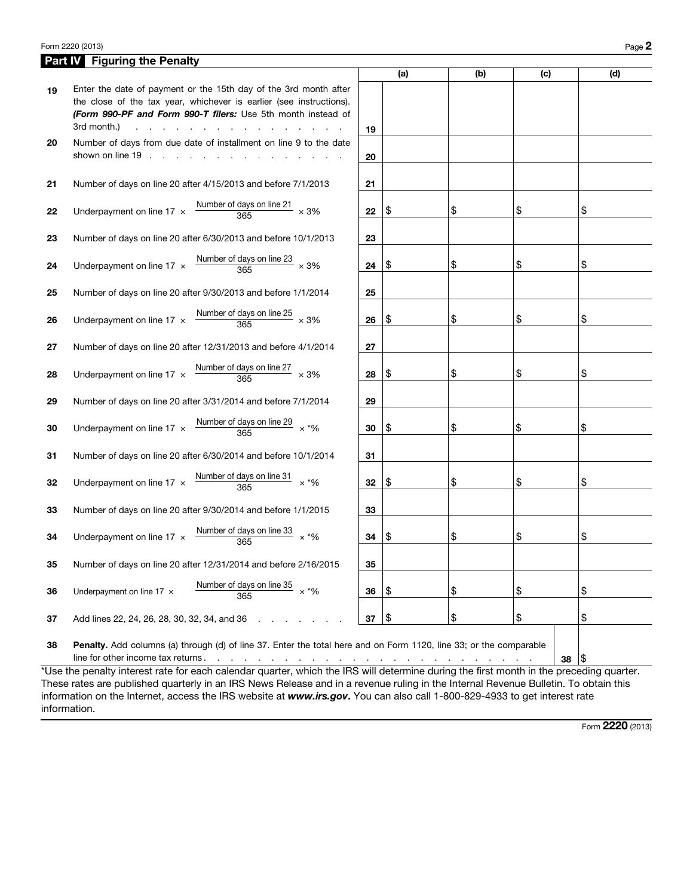## Form 2220 (2013) Page 2

|                    | <b>Part IV</b> Figuring the Penalty                                                                                                                                                                                                                                                                                                                                                          |    |     |     |     |     |  |  |
|--------------------|----------------------------------------------------------------------------------------------------------------------------------------------------------------------------------------------------------------------------------------------------------------------------------------------------------------------------------------------------------------------------------------------|----|-----|-----|-----|-----|--|--|
|                    |                                                                                                                                                                                                                                                                                                                                                                                              |    | (a) | (b) | (c) | (d) |  |  |
| 19                 | Enter the date of payment or the 15th day of the 3rd month after<br>the close of the tax year, whichever is earlier (see instructions).<br>(Form 990-PF and Form 990-T filers: Use 5th month instead of<br>3rd month.)<br>the company of the company of<br>$\sim$                                                                                                                            | 19 |     |     |     |     |  |  |
| 20                 | Number of days from due date of installment on line 9 to the date<br>shown on line 19                                                                                                                                                                                                                                                                                                        | 20 |     |     |     |     |  |  |
| 21                 | Number of days on line 20 after 4/15/2013 and before 7/1/2013                                                                                                                                                                                                                                                                                                                                | 21 |     |     |     |     |  |  |
| 22                 | Number of days on line 21<br>Underpayment on line $17 \times$<br>$\times$ 3%<br>365                                                                                                                                                                                                                                                                                                          | 22 | \$  | \$  | \$  | \$  |  |  |
| 23                 | Number of days on line 20 after 6/30/2013 and before 10/1/2013                                                                                                                                                                                                                                                                                                                               | 23 |     |     |     |     |  |  |
| 24                 | Number of days on line 23 $\times$ 3%<br>Underpayment on line 17 $\times$<br>365                                                                                                                                                                                                                                                                                                             | 24 | \$  | \$  | \$  | \$  |  |  |
| 25                 | Number of days on line 20 after 9/30/2013 and before 1/1/2014                                                                                                                                                                                                                                                                                                                                | 25 |     |     |     |     |  |  |
| 26                 | Number of days on line 25 $\times$ 3%<br>Underpayment on line 17 $\times$<br>365                                                                                                                                                                                                                                                                                                             | 26 | \$  | \$  | \$  | \$  |  |  |
| 27                 | Number of days on line 20 after 12/31/2013 and before 4/1/2014                                                                                                                                                                                                                                                                                                                               | 27 |     |     |     |     |  |  |
| 28                 | Number of days on line 27<br>Underpayment on line 17 x<br>$\times$ 3%<br>365                                                                                                                                                                                                                                                                                                                 | 28 | \$  | \$  | \$  | \$  |  |  |
| 29                 | Number of days on line 20 after 3/31/2014 and before 7/1/2014                                                                                                                                                                                                                                                                                                                                | 29 |     |     |     |     |  |  |
| 30                 | Number of days on line 29 $\times$ *%<br>Underpayment on line 17 x<br>365                                                                                                                                                                                                                                                                                                                    | 30 | \$  | \$  | \$  | \$  |  |  |
| 31                 | Number of days on line 20 after 6/30/2014 and before 10/1/2014                                                                                                                                                                                                                                                                                                                               | 31 |     |     |     |     |  |  |
| 32                 | Number of days on line 31<br>Underpayment on line 17 $\times$<br>$\times$ *%<br>365                                                                                                                                                                                                                                                                                                          | 32 | \$  | \$  | \$  | \$  |  |  |
| 33                 | Number of days on line 20 after 9/30/2014 and before 1/1/2015                                                                                                                                                                                                                                                                                                                                | 33 |     |     |     |     |  |  |
| 34                 | Number of days on line 33<br>Underpayment on line 17 x<br>$\times$ *%<br>365                                                                                                                                                                                                                                                                                                                 | 34 | \$  | \$  | \$  | \$  |  |  |
| 35                 | Number of days on line 20 after 12/31/2014 and before 2/16/2015                                                                                                                                                                                                                                                                                                                              | 35 |     |     |     |     |  |  |
| 36                 | Number of days on line 35<br>$\times$ *%<br>Underpayment on line 17 x<br>365                                                                                                                                                                                                                                                                                                                 | 36 | \$  | \$  | \$  | \$  |  |  |
| 37                 | Add lines 22, 24, 26, 28, 30, 32, 34, and 36                                                                                                                                                                                                                                                                                                                                                 | 37 | \$  | \$  | \$  | \$  |  |  |
| 38<br>$*1$ loo the | Penalty. Add columns (a) through (d) of line 37. Enter the total here and on Form 1120, line 33; or the comparable<br>line for other income tax returns.<br>1\$<br>38<br>فالتقارب والمنافر والمنافر والمنافر والمنافر والمنافر والمنافر والمنافر والمنافر والمنافر والمنافر<br>penalty interest rate for each eclondar quarter, which the IDC will determine during the first menth in the u |    |     |     |     |     |  |  |

\*Use the penalty interest rate for each calendar quarter, which the IRS will determine during the first month in the preceding quarter. These rates are published quarterly in an IRS News Release and in a revenue ruling in the Internal Revenue Bulletin. To obtain this information on the Internet, access the IRS website at *www.irs.gov*. You can also call 1-800-829-4933 to get interest rate information.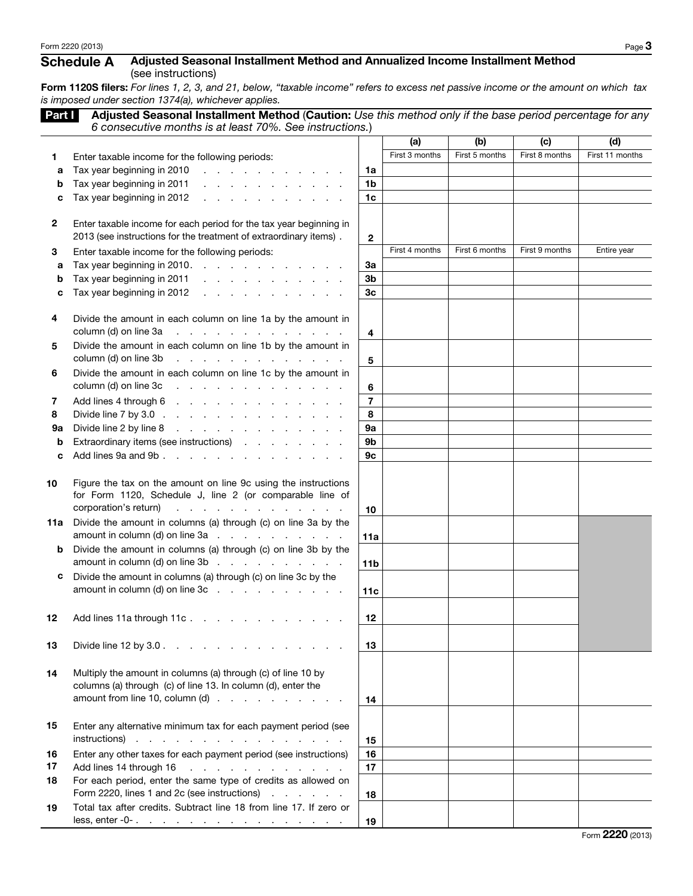## Schedule A Adjusted Seasonal Installment Method and Annualized Income Installment Method (see instructions)

Form 1120S filers: *For lines 1, 2, 3, and 21, below, "taxable income" refers to excess net passive income or the amount on which tax is imposed under section 1374(a), whichever applies.*

| Part I       | Adjusted Seasonal Installment Method (Caution: Use this method only if the base period percentage for any                                    |                         |                |                |                |                 |
|--------------|----------------------------------------------------------------------------------------------------------------------------------------------|-------------------------|----------------|----------------|----------------|-----------------|
|              | 6 consecutive months is at least 70%. See instructions.)                                                                                     |                         |                |                |                |                 |
|              |                                                                                                                                              |                         | (a)            | (b)            | (c)            | (d)             |
| 1            | Enter taxable income for the following periods:                                                                                              |                         | First 3 months | First 5 months | First 8 months | First 11 months |
| a            | Tax year beginning in 2010<br>and the contract of the contract of                                                                            | 1a                      |                |                |                |                 |
| b            | Tax year beginning in 2011<br>and the company of the company of                                                                              | 1b                      |                |                |                |                 |
| c            | Tax year beginning in 2012<br>the contract of the contract of the contract of                                                                | 1 <sub>c</sub>          |                |                |                |                 |
| $\mathbf{2}$ | Enter taxable income for each period for the tax year beginning in                                                                           |                         |                |                |                |                 |
|              | 2013 (see instructions for the treatment of extraordinary items).                                                                            | $\mathbf{2}$            |                |                |                |                 |
| З            | Enter taxable income for the following periods:                                                                                              |                         | First 4 months | First 6 months | First 9 months | Entire year     |
| a            | Tax year beginning in 2010. $\ldots$ $\ldots$ $\ldots$ $\ldots$ $\ldots$                                                                     | За                      |                |                |                |                 |
| b            | Tax year beginning in 2011                                                                                                                   | 3 <sub>b</sub>          |                |                |                |                 |
| c            | Tax year beginning in 2012                                                                                                                   | 3 <sub>c</sub>          |                |                |                |                 |
|              |                                                                                                                                              |                         |                |                |                |                 |
| 4            | Divide the amount in each column on line 1a by the amount in                                                                                 |                         |                |                |                |                 |
|              | column (d) on line 3a<br>and the second contract of the second                                                                               | 4                       |                |                |                |                 |
| 5            | Divide the amount in each column on line 1b by the amount in                                                                                 |                         |                |                |                |                 |
|              | column (d) on line 3b<br>and a series of the company of the company                                                                          | 5                       |                |                |                |                 |
| 6            | Divide the amount in each column on line 1c by the amount in                                                                                 |                         |                |                |                |                 |
|              | column (d) on line 3c<br>and the contract of the contract of the contract of the contract of the contract of                                 | 6                       |                |                |                |                 |
| 7            | Add lines 4 through 6                                                                                                                        | $\overline{\mathbf{r}}$ |                |                |                |                 |
| 8            | Divide line 7 by 3.0 $\ldots$ $\ldots$ $\ldots$ $\ldots$ $\ldots$ $\ldots$ $\ldots$                                                          | 8                       |                |                |                |                 |
| 9а           | Divide line 2 by line 8<br>the contract of the contract of the contract of                                                                   | 9a                      |                |                |                |                 |
| b            | Extraordinary items (see instructions)                                                                                                       | 9b                      |                |                |                |                 |
| c            | Add lines 9a and 9b                                                                                                                          | 9c                      |                |                |                |                 |
|              |                                                                                                                                              |                         |                |                |                |                 |
| 10           | Figure the tax on the amount on line 9c using the instructions<br>for Form 1120, Schedule J, line 2 (or comparable line of                   |                         |                |                |                |                 |
|              | corporation's return)<br>and the contract of the contract of the                                                                             | 10                      |                |                |                |                 |
| 11a          | Divide the amount in columns (a) through (c) on line 3a by the                                                                               |                         |                |                |                |                 |
|              | amount in column (d) on line $3a$ $\ldots$ $\ldots$ $\ldots$ $\ldots$                                                                        | 11a                     |                |                |                |                 |
| b            | Divide the amount in columns (a) through (c) on line 3b by the                                                                               |                         |                |                |                |                 |
|              | amount in column (d) on line $3b$                                                                                                            | 11 <sub>b</sub>         |                |                |                |                 |
| с            | Divide the amount in columns (a) through (c) on line 3c by the                                                                               |                         |                |                |                |                 |
|              | amount in column (d) on line $3c$ $\ldots$ $\ldots$ $\ldots$ $\ldots$                                                                        | 11c                     |                |                |                |                 |
|              |                                                                                                                                              |                         |                |                |                |                 |
| 12           | Add lines 11a through 11c.                                                                                                                   | 12                      |                |                |                |                 |
|              |                                                                                                                                              |                         |                |                |                |                 |
| 13           | Divide line 12 by 3.0 $\ldots$ $\ldots$ $\ldots$ $\ldots$ $\ldots$ $\ldots$ $\ldots$                                                         | 13                      |                |                |                |                 |
|              |                                                                                                                                              |                         |                |                |                |                 |
| 14           | Multiply the amount in columns (a) through (c) of line 10 by                                                                                 |                         |                |                |                |                 |
|              | columns (a) through (c) of line 13. In column (d), enter the<br>amount from line 10, column (d) $\ldots$ $\ldots$ $\ldots$ $\ldots$ $\ldots$ |                         |                |                |                |                 |
|              |                                                                                                                                              | 14                      |                |                |                |                 |
| 15           | Enter any alternative minimum tax for each payment period (see                                                                               |                         |                |                |                |                 |
|              | $instructions)$                                                                                                                              | 15                      |                |                |                |                 |
| 16           | Enter any other taxes for each payment period (see instructions)                                                                             | 16                      |                |                |                |                 |
| 17           | Add lines 14 through 16<br>the contract of the contract of the contract of                                                                   | 17                      |                |                |                |                 |
| 18           | For each period, enter the same type of credits as allowed on                                                                                |                         |                |                |                |                 |
|              | Form 2220, lines 1 and 2c (see instructions)                                                                                                 | 18                      |                |                |                |                 |
| 19           | Total tax after credits. Subtract line 18 from line 17. If zero or                                                                           |                         |                |                |                |                 |
|              | less, enter -0- $\ldots$ $\ldots$ $\ldots$ $\ldots$ $\ldots$ $\ldots$ $\ldots$ $\ldots$                                                      | 19                      |                |                |                |                 |